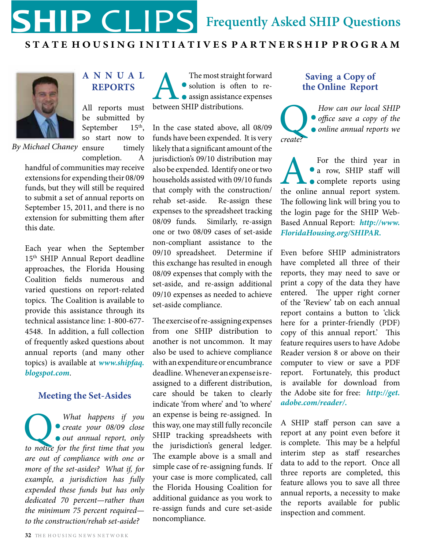

### **S T A T E H O U S I N G I N I T I A T I V E S P A R T N E R S H I P P R O G R A M**



**A nnua l Reports**

*By Michael Chaney* ensure timely All reports must be submitted by September 15<sup>th</sup>, so start now to completion. A

handful of communities may receive extensions for expending their 08/09 funds, but they will still be required to submit a set of annual reports on September 15, 2011, and there is no extension for submitting them after this date.

Each year when the September 15<sup>th</sup> SHIP Annual Report deadline approaches, the Florida Housing Coalition fields numerous and varied questions on report-related topics. The Coalition is available to provide this assistance through its technical assistance line: 1-800-677- 4548. In addition, a full collection of frequently asked questions about annual reports (and many other topics) is available at *www.shipfaq. blogspot.com*.

## **Meeting the Set-Asides**

What happens if you **create your 08/09 close** out annual report, only to notice for the first time that you *create your 08/09 close out annual report, only are out of compliance with one or more of the set-asides? What if, for example, a jurisdiction has fully expended these funds but has only dedicated 70 percent—rather than the minimum 75 percent required to the construction/rehab set-aside?* 

The most straight forward<br>
• solution is often to re-<br>
• assign assistance expenses<br>
between SHIP distributions. solution is often to reassign assistance expenses

In the case stated above, all 08/09 funds have been expended. It is very likely that a significant amount of the jurisdiction's 09/10 distribution may also be expended. Identify one or two households assisted with 09/10 funds that comply with the construction/ rehab set-aside. Re-assign these expenses to the spreadsheet tracking 08/09 funds. Similarly, re-assign one or two 08/09 cases of set-aside non-compliant assistance to the 09/10 spreadsheet. Determine if this exchange has resulted in enough 08/09 expenses that comply with the set-aside, and re-assign additional 09/10 expenses as needed to achieve set-aside compliance.

The exercise of re-assigning expenses from one SHIP distribution to another is not uncommon. It may also be used to achieve compliance with an expenditure or encumbrance deadline. Whenever an expense is reassigned to a different distribution, care should be taken to clearly indicate 'from where' and 'to where' an expense is being re-assigned. In this way, one may still fully reconcile SHIP tracking spreadsheets with the jurisdiction's general ledger. The example above is a small and simple case of re-assigning funds. If your case is more complicated, call the Florida Housing Coalition for additional guidance as you work to re-assign funds and cure set-aside noncompliance.

## **Saving a Copy of the Online Report**

How can our local SHIP<br>
office save a copy of the<br>
create? *office save a copy of the online annual reports we create?*

A: For the third year in <br>
• a row, SHIP staff will<br>
• complete reports using<br>
the online annual report system. • a row, SHIP staff will **complete** reports using The following link will bring you to the login page for the SHIP Web-Based Annual Report: *http://www. FloridaHousing.org/SHIPAR***.**

Even before SHIP administrators have completed all three of their reports, they may need to save or print a copy of the data they have entered. The upper right corner of the 'Review' tab on each annual report contains a button to 'click here for a printer-friendly (PDF) copy of this annual report.' This feature requires users to have Adobe Reader version 8 or above on their computer to view or save a PDF report. Fortunately, this product is available for download from the Adobe site for free: *http://get. adobe.com/reader/***.** 

A SHIP staff person can save a report at any point even before it is complete. This may be a helpful interim step as staff researches data to add to the report. Once all three reports are completed, this feature allows you to save all three annual reports, a necessity to make the reports available for public inspection and comment.